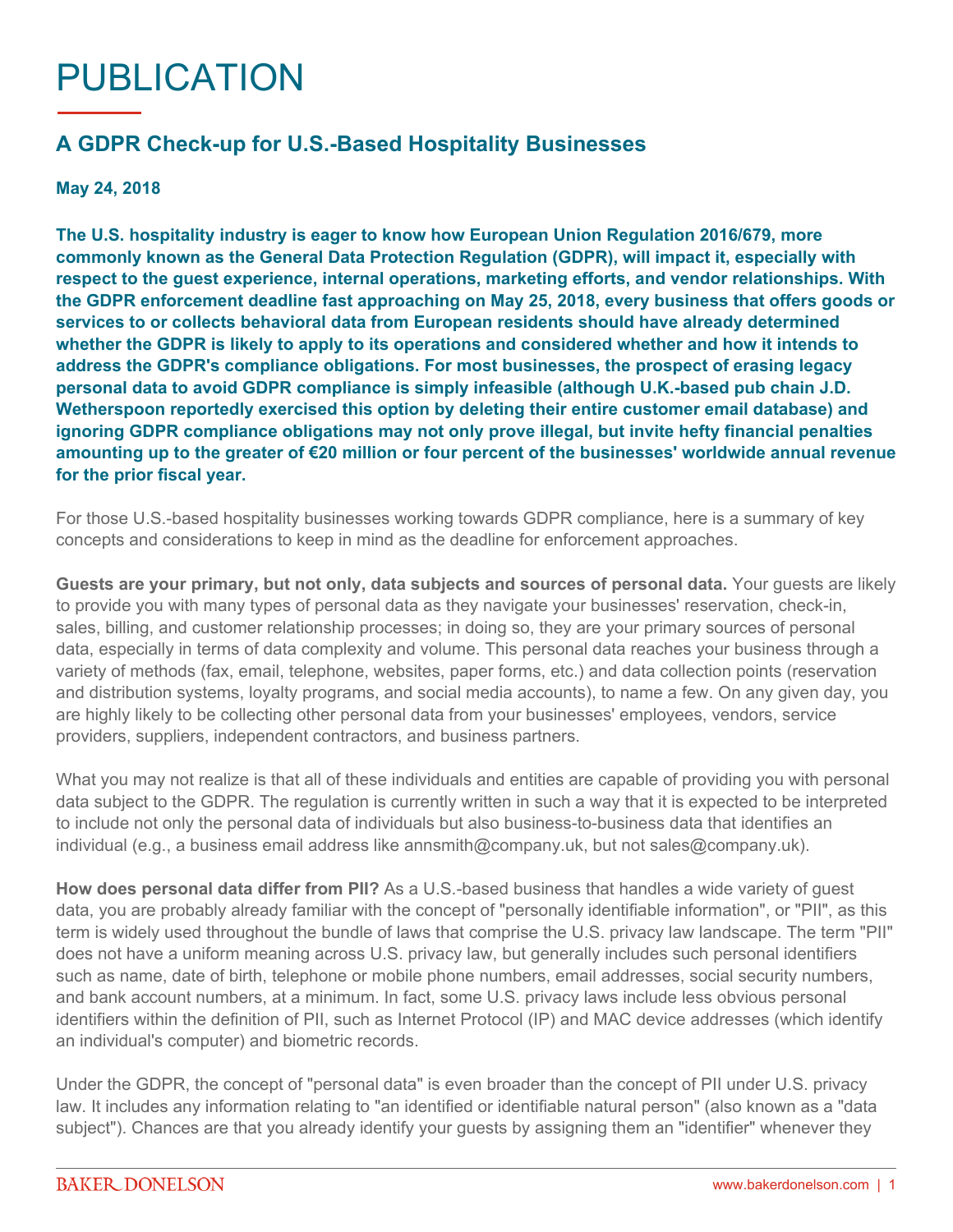## PUBLICATION

## **A GDPR Check-up for U.S.-Based Hospitality Businesses**

**May 24, 2018**

**The U.S. hospitality industry is eager to know how European Union Regulation 2016/679, more commonly known as the General Data Protection Regulation (GDPR), will impact it, especially with respect to the guest experience, internal operations, marketing efforts, and vendor relationships. With the GDPR enforcement deadline fast approaching on May 25, 2018, every business that offers goods or services to or collects behavioral data from European residents should have already determined whether the GDPR is likely to apply to its operations and considered whether and how it intends to address the GDPR's compliance obligations. For most businesses, the prospect of erasing legacy personal data to avoid GDPR compliance is simply infeasible (although U.K.-based pub chain [J.D.](https://www.marketingweek.com/2017/07/05/wetherspoon-data-email-marketing-gdpr/)  [Wetherspoon reportedly exercised this option](https://www.marketingweek.com/2017/07/05/wetherspoon-data-email-marketing-gdpr/) by deleting their entire customer email database) and ignoring GDPR compliance obligations may not only prove illegal, but invite hefty financial penalties amounting up to the greater of €20 million or four percent of the businesses' worldwide annual revenue for the prior fiscal year.**

For those U.S.-based hospitality businesses working towards GDPR compliance, here is a summary of key concepts and considerations to keep in mind as the deadline for enforcement approaches.

**Guests are your primary, but not only, data subjects and sources of personal data.** Your guests are likely to provide you with many types of personal data as they navigate your businesses' reservation, check-in, sales, billing, and customer relationship processes; in doing so, they are your primary sources of personal data, especially in terms of data complexity and volume. This personal data reaches your business through a variety of methods (fax, email, telephone, websites, paper forms, etc.) and data collection points (reservation and distribution systems, loyalty programs, and social media accounts), to name a few. On any given day, you are highly likely to be collecting other personal data from your businesses' employees, vendors, service providers, suppliers, independent contractors, and business partners.

What you may not realize is that all of these individuals and entities are capable of providing you with personal data subject to the GDPR. The regulation is currently written in such a way that it is expected to be interpreted to include not only the personal data of individuals but also business-to-business data that identifies an individual (e.g., a business email address like annsmith@company.uk, but not sales@company.uk).

**How does personal data differ from PII?** As a U.S.-based business that handles a wide variety of guest data, you are probably already familiar with the concept of "personally identifiable information", or "PII", as this term is widely used throughout the bundle of laws that comprise the U.S. privacy law landscape. The term "PII" does not have a uniform meaning across U.S. privacy law, but generally includes such personal identifiers such as name, date of birth, telephone or mobile phone numbers, email addresses, social security numbers, and bank account numbers, at a minimum. In fact, some U.S. privacy laws include less obvious personal identifiers within the definition of PII, such as Internet Protocol (IP) and MAC device addresses (which identify an individual's computer) and biometric records.

Under the GDPR, the concept of "personal data" is even broader than the concept of PII under U.S. privacy law. It includes any information relating to "an identified or identifiable natural person" (also known as a "data subject"). Chances are that you already identify your guests by assigning them an "identifier" whenever they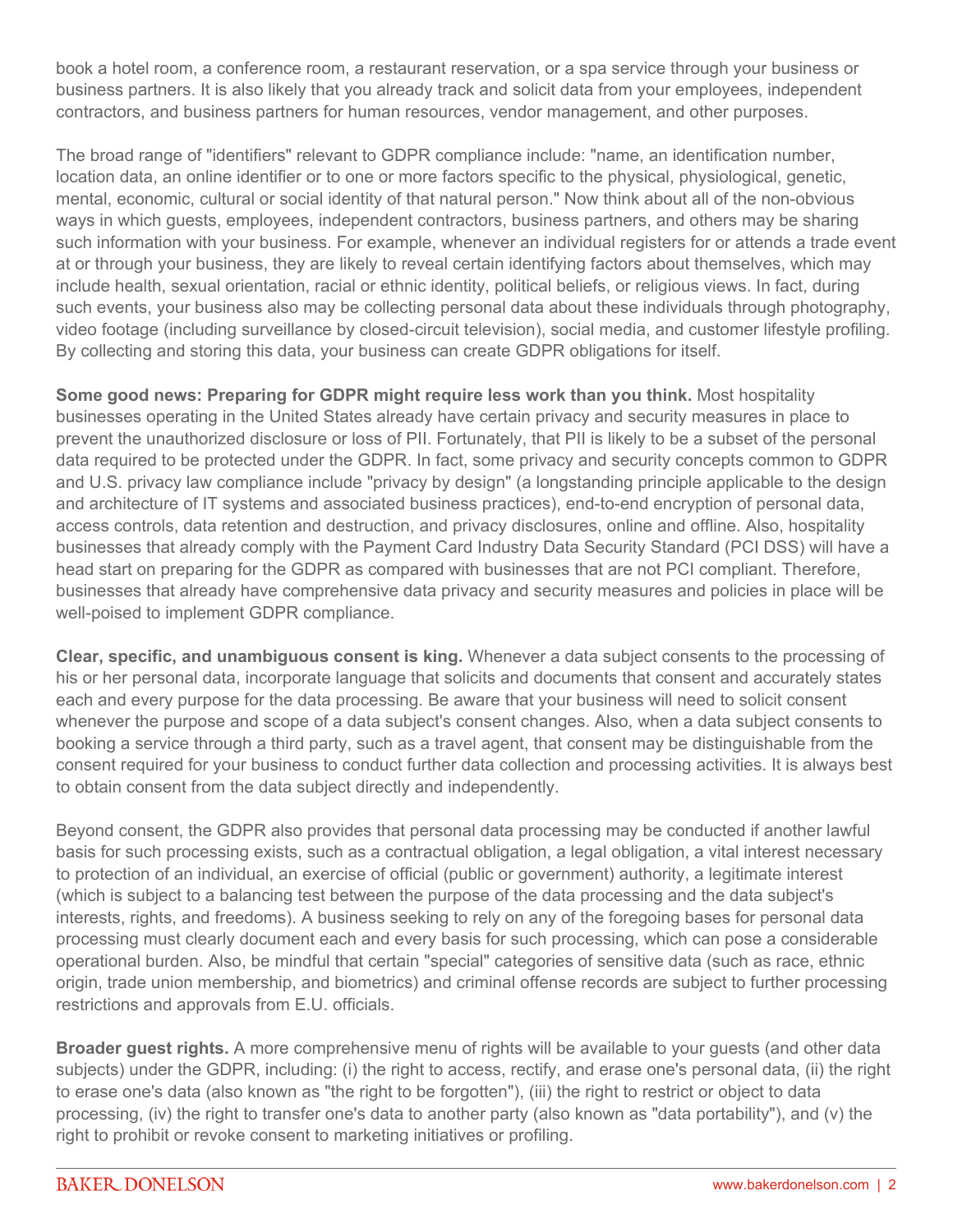book a hotel room, a conference room, a restaurant reservation, or a spa service through your business or business partners. It is also likely that you already track and solicit data from your employees, independent contractors, and business partners for human resources, vendor management, and other purposes.

The broad range of "identifiers" relevant to GDPR compliance include: "name, an identification number, location data, an online identifier or to one or more factors specific to the physical, physiological, genetic, mental, economic, cultural or social identity of that natural person." Now think about all of the non-obvious ways in which guests, employees, independent contractors, business partners, and others may be sharing such information with your business. For example, whenever an individual registers for or attends a trade event at or through your business, they are likely to reveal certain identifying factors about themselves, which may include health, sexual orientation, racial or ethnic identity, political beliefs, or religious views. In fact, during such events, your business also may be collecting personal data about these individuals through photography, video footage (including surveillance by closed-circuit television), social media, and customer lifestyle profiling. By collecting and storing this data, your business can create GDPR obligations for itself.

**Some good news: Preparing for GDPR might require less work than you think.** Most hospitality businesses operating in the United States already have certain privacy and security measures in place to prevent the unauthorized disclosure or loss of PII. Fortunately, that PII is likely to be a subset of the personal data required to be protected under the GDPR. In fact, some privacy and security concepts common to GDPR and U.S. privacy law compliance include "privacy by design" (a longstanding principle applicable to the design and architecture of IT systems and associated business practices), end-to-end encryption of personal data, access controls, data retention and destruction, and privacy disclosures, online and offline. Also, hospitality businesses that already comply with the Payment Card Industry Data Security Standard (PCI DSS) will have a head start on preparing for the GDPR as compared with businesses that are not PCI compliant. Therefore, businesses that already have comprehensive data privacy and security measures and policies in place will be well-poised to implement GDPR compliance.

**Clear, specific, and unambiguous consent is king.** Whenever a data subject consents to the processing of his or her personal data, incorporate language that solicits and documents that consent and accurately states each and every purpose for the data processing. Be aware that your business will need to solicit consent whenever the purpose and scope of a data subject's consent changes. Also, when a data subject consents to booking a service through a third party, such as a travel agent, that consent may be distinguishable from the consent required for your business to conduct further data collection and processing activities. It is always best to obtain consent from the data subject directly and independently.

Beyond consent, the GDPR also provides that personal data processing may be conducted if another lawful basis for such processing exists, such as a contractual obligation, a legal obligation, a vital interest necessary to protection of an individual, an exercise of official (public or government) authority, a legitimate interest (which is subject to a balancing test between the purpose of the data processing and the data subject's interests, rights, and freedoms). A business seeking to rely on any of the foregoing bases for personal data processing must clearly document each and every basis for such processing, which can pose a considerable operational burden. Also, be mindful that certain "special" categories of sensitive data (such as race, ethnic origin, trade union membership, and biometrics) and criminal offense records are subject to further processing restrictions and approvals from E.U. officials.

**Broader guest rights.** A more comprehensive menu of rights will be available to your guests (and other data subjects) under the GDPR, including: (i) the right to access, rectify, and erase one's personal data, (ii) the right to erase one's data (also known as "the right to be forgotten"), (iii) the right to restrict or object to data processing, (iv) the right to transfer one's data to another party (also known as "data portability"), and (v) the right to prohibit or revoke consent to marketing initiatives or profiling.